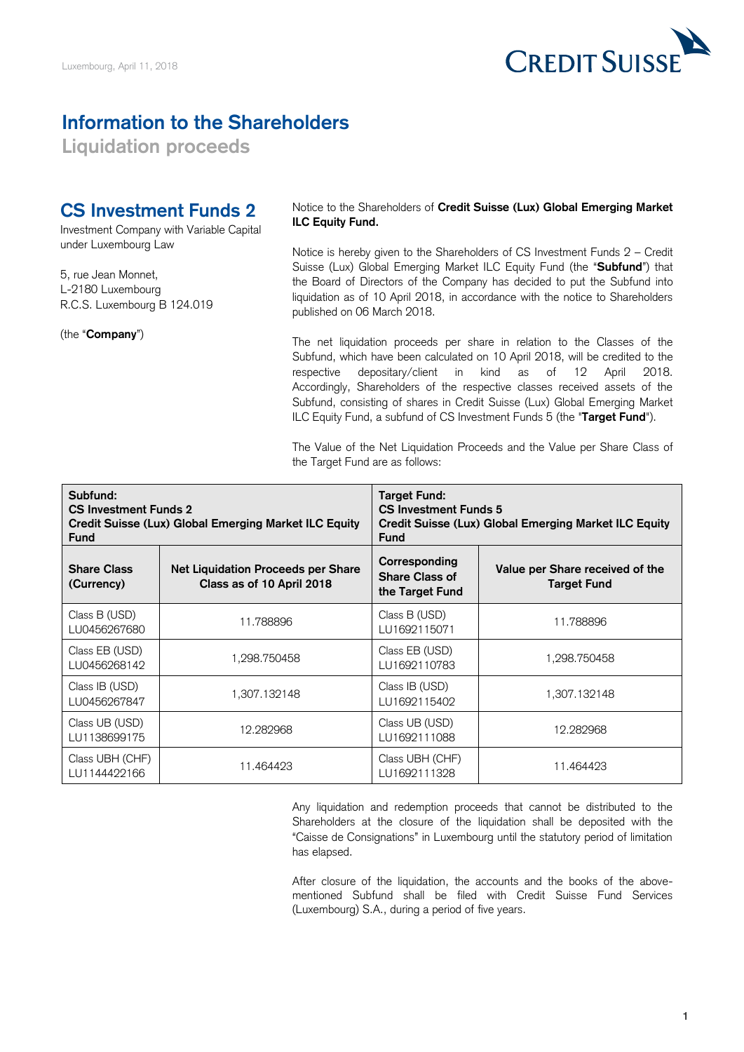

## **Information to the Shareholders**

**Liquidation proceeds** 

## **CS Investment Funds 2**

Investment Company with Variable Capital under Luxembourg Law

5, rue Jean Monnet, L-2180 Luxembourg R.C.S. Luxembourg B 124.019

(the "**Company**")

 Notice to the Shareholders of **Credit Suisse (Lux) Global Emerging Market ILC Equity Fund.** 

 Notice is hereby given to the Shareholders of CS Investment Funds 2 – Credit Suisse (Lux) Global Emerging Market ILC Equity Fund (the "**Subfund**") that the Board of Directors of the Company has decided to put the Subfund into liquidation as of 10 April 2018, in accordance with the notice to Shareholders published on 06 March 2018.

 The net liquidation proceeds per share in relation to the Classes of the Subfund, which have been calculated on 10 April 2018, will be credited to the respective depositary/client in kind as of 12 April 2018. Accordingly, Shareholders of the respective classes received assets of the Subfund, consisting of shares in Credit Suisse (Lux) Global Emerging Market ILC Equity Fund, a subfund of CS Investment Funds 5 (the "**Target Fund**").

 The Value of the Net Liquidation Proceeds and the Value per Share Class of the Target Fund are as follows:

| Subfund:<br><b>CS Investment Funds 2</b><br>Credit Suisse (Lux) Global Emerging Market ILC Equity<br><b>Fund</b> |                                                                 | Target Fund:<br><b>CS Investment Funds 5</b><br>Credit Suisse (Lux) Global Emerging Market ILC Equity<br><b>Fund</b> |                                                       |
|------------------------------------------------------------------------------------------------------------------|-----------------------------------------------------------------|----------------------------------------------------------------------------------------------------------------------|-------------------------------------------------------|
| <b>Share Class</b><br>(Currency)                                                                                 | Net Liquidation Proceeds per Share<br>Class as of 10 April 2018 | Corresponding<br><b>Share Class of</b><br>the Target Fund                                                            | Value per Share received of the<br><b>Target Fund</b> |
| Class B (USD)<br>LU0456267680                                                                                    | 11.788896                                                       | Class B (USD)<br>LU1692115071                                                                                        | 11.788896                                             |
| Class EB (USD)<br>LU0456268142                                                                                   | 1.298.750458                                                    | Class EB (USD)<br>LU1692110783                                                                                       | 1.298.750458                                          |
| Class IB (USD)<br>LU0456267847                                                                                   | 1,307.132148                                                    | Class IB (USD)<br>LU1692115402                                                                                       | 1,307.132148                                          |
| Class UB (USD)<br>LU1138699175                                                                                   | 12.282968                                                       | Class UB (USD)<br>LU1692111088                                                                                       | 12.282968                                             |
| Class UBH (CHF)<br>LU1144422166                                                                                  | 11.464423                                                       | Class UBH (CHF)<br>LU1692111328                                                                                      | 11.464423                                             |

 Any liquidation and redemption proceeds that cannot be distributed to the Shareholders at the closure of the liquidation shall be deposited with the "Caisse de Consignations" in Luxembourg until the statutory period of limitation has elapsed.

 After closure of the liquidation, the accounts and the books of the above- mentioned Subfund shall be filed with Credit Suisse Fund Services (Luxembourg) S.A., during a period of five years.